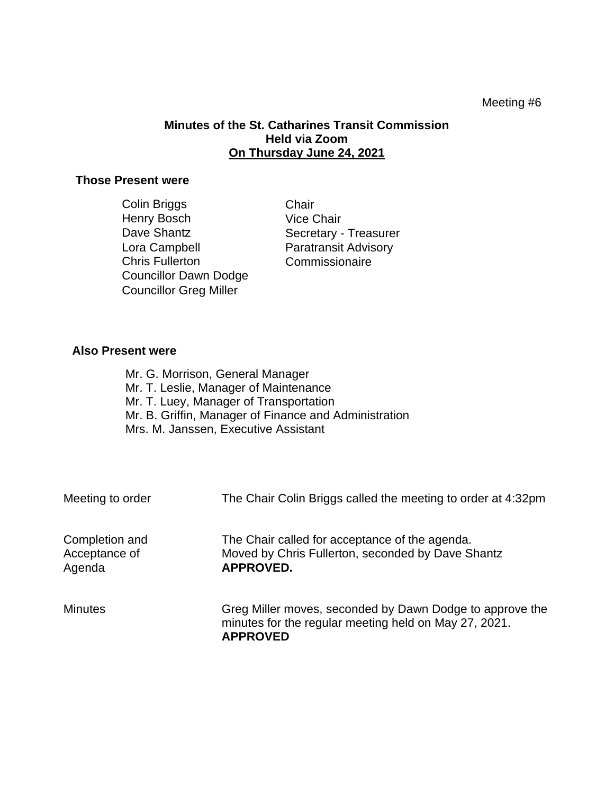## Meeting #6

## **Minutes of the St. Catharines Transit Commission Held via Zoom On Thursday June 24, 2021**

## **Those Present were**

| Chair                       |
|-----------------------------|
| <b>Vice Chair</b>           |
| Secretary - Treasurer       |
| <b>Paratransit Advisory</b> |
| Commissionaire              |
|                             |
|                             |
|                             |

## **Also Present were**

Mr. G. Morrison, General Manager Mr. T. Leslie, Manager of Maintenance Mr. T. Luey, Manager of Transportation Mr. B. Griffin, Manager of Finance and Administration Mrs. M. Janssen, Executive Assistant

| Meeting to order                          | The Chair Colin Briggs called the meeting to order at 4:32pm                                                                         |
|-------------------------------------------|--------------------------------------------------------------------------------------------------------------------------------------|
| Completion and<br>Acceptance of<br>Agenda | The Chair called for acceptance of the agenda.<br>Moved by Chris Fullerton, seconded by Dave Shantz<br><b>APPROVED.</b>              |
| <b>Minutes</b>                            | Greg Miller moves, seconded by Dawn Dodge to approve the<br>minutes for the regular meeting held on May 27, 2021.<br><b>APPROVED</b> |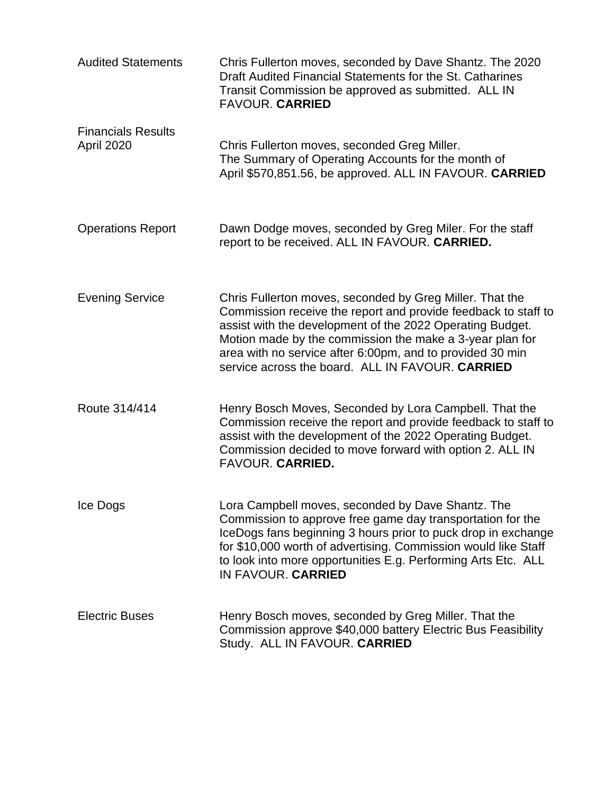| <b>Audited Statements</b>               | Chris Fullerton moves, seconded by Dave Shantz. The 2020<br>Draft Audited Financial Statements for the St. Catharines<br>Transit Commission be approved as submitted. ALL IN<br><b>FAVOUR. CARRIED</b>                                                                                                                                                               |
|-----------------------------------------|----------------------------------------------------------------------------------------------------------------------------------------------------------------------------------------------------------------------------------------------------------------------------------------------------------------------------------------------------------------------|
| <b>Financials Results</b><br>April 2020 | Chris Fullerton moves, seconded Greg Miller.<br>The Summary of Operating Accounts for the month of<br>April \$570,851.56, be approved. ALL IN FAVOUR. CARRIED                                                                                                                                                                                                        |
| <b>Operations Report</b>                | Dawn Dodge moves, seconded by Greg Miler. For the staff<br>report to be received. ALL IN FAVOUR. CARRIED.                                                                                                                                                                                                                                                            |
| <b>Evening Service</b>                  | Chris Fullerton moves, seconded by Greg Miller. That the<br>Commission receive the report and provide feedback to staff to<br>assist with the development of the 2022 Operating Budget.<br>Motion made by the commission the make a 3-year plan for<br>area with no service after 6:00pm, and to provided 30 min<br>service across the board. ALL IN FAVOUR, CARRIED |
| Route 314/414                           | Henry Bosch Moves, Seconded by Lora Campbell. That the<br>Commission receive the report and provide feedback to staff to<br>assist with the development of the 2022 Operating Budget.<br>Commission decided to move forward with option 2. ALL IN<br>FAVOUR. CARRIED.                                                                                                |
| Ice Dogs                                | Lora Campbell moves, seconded by Dave Shantz. The<br>Commission to approve free game day transportation for the<br>IceDogs fans beginning 3 hours prior to puck drop in exchange<br>for \$10,000 worth of advertising. Commission would like Staff<br>to look into more opportunities E.g. Performing Arts Etc. ALL<br>IN FAVOUR. CARRIED                            |
| <b>Electric Buses</b>                   | Henry Bosch moves, seconded by Greg Miller. That the<br>Commission approve \$40,000 battery Electric Bus Feasibility<br>Study. ALL IN FAVOUR. CARRIED                                                                                                                                                                                                                |